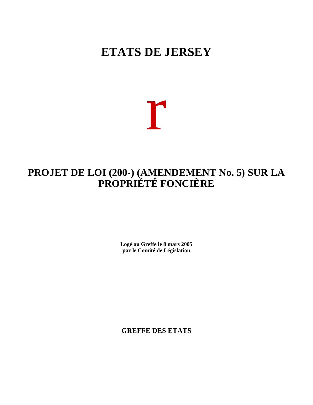# **ETATS DE JERSEY**

# r

## **PROJET DE LOI (200-) (AMENDEMENT No. 5) SUR LA PROPRIÉTÉ FONCIÈRE**

**Logé au Greffe le 8 mars 2005 par le Comité de Législation**

**GREFFE DES ETATS**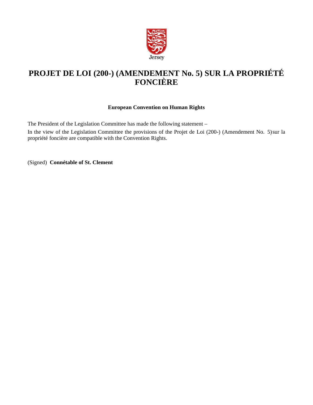

## **PROJET DE LOI (200-) (AMENDEMENT No. 5) SUR LA PROPRIÉTÉ FONCIÈRE**

#### **European Convention on Human Rights**

The President of the Legislation Committee has made the following statement –

In the view of the Legislation Committee the provisions of the Projet de Loi (200-) (Amendement No. 5)sur la propriété foncière are compatible with the Convention Rights.

(Signed) **Connétable of St. Clement**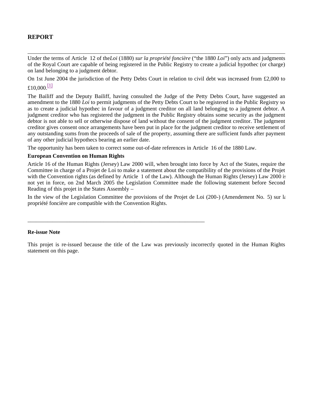#### **REPORT**

Under the terms of Article 12 of the*Loi* (1880) *sur la propriété foncière* ("the 1880 *Loi*") only acts and judgments of the Royal Court are capable of being registered in the Public Registry to create a judicial hypothec (or charge) on land belonging to a judgment debtor.

On 1st June 2004 the jurisdiction of the Petty Debts Court in relation to civil debt was increased from £2,000 to £10,000 $^{[1]}$ 

The Bailiff and the Deputy Bailiff, having consulted the Judge of the Petty Debts Court, have suggested an amendment to the 1880 *Loi* to permit judgments of the Petty Debts Court to be registered in the Public Registry so as to create a judicial hypothec in favour of a judgment creditor on all land belonging to a judgment debtor. A judgment creditor who has registered the judgment in the Public Registry obtains some security as the judgment debtor is not able to sell or otherwise dispose of land without the consent of the judgment creditor. The judgment creditor gives consent once arrangements have been put in place for the judgment creditor to receive settlement of any outstanding sums from the proceeds of sale of the property, assuming there are sufficient funds after payment of any other judicial hypothecs bearing an earlier date.

The opportunity has been taken to correct some out-of-date references in Article 16 of the 1880 Law.

\_\_\_\_\_\_\_\_\_\_\_\_\_\_\_\_\_\_\_\_\_\_\_\_\_\_\_\_\_\_\_\_\_\_\_\_\_\_\_\_\_\_\_\_\_\_\_\_\_\_\_\_\_\_\_\_\_\_\_\_\_\_\_

#### **European Convention on Human Rights**

Article 16 of the Human Rights (Jersey) Law 2000 will, when brought into force by Act of the States, require the Committee in charge of a Projet de Loi to make a statement about the compatibility of the provisions of the Projet with the Convention rights (as defined by Article 1 of the Law). Although the Human Rights (Jersey) Law 2000 is not yet in force, on 2nd March 2005 the Legislation Committee made the following statement before Second Reading of this projet in the States Assembly –

In the view of the Legislation Committee the provisions of the Projet de Loi (200-) (Amendement No. 5) sur la propriété foncière are compatible with the Convention Rights.

#### **Re-issue Note**

This projet is re-issued because the title of the Law was previously incorrectly quoted in the Human Rights statement on this page.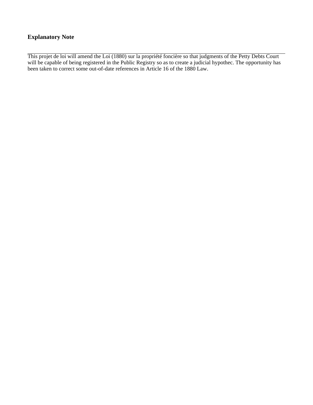#### **Explanatory Note**

This projet de loi will amend the Loi (1880) sur la propriété foncière so that judgments of the Petty Debts Court will be capable of being registered in the Public Registry so as to create a judicial hypothec. The opportunity has been taken to correct some out-of-date references in Article 16 of the 1880 Law.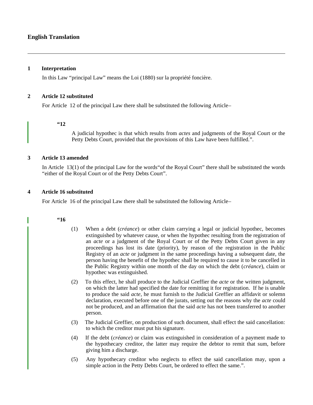#### **English Translation**

#### **1 Interpretation**

In this Law "principal Law" means the Loi (1880) sur la propriété foncière.

#### **2 Article 12 substituted**

For Article 12 of the principal Law there shall be substituted the following Article –

#### **"12**

A judicial hypothec is that which results from *actes* and judgments of the Royal Court or the Petty Debts Court, provided that the provisions of this Law have been fulfilled.".

#### **3 Article 13 amended**

In Article 13(1) of the principal Law for the words"of the Royal Court" there shall be substituted the words "either of the Royal Court or of the Petty Debts Court".

#### **4 Article 16 substituted**

For Article 16 of the principal Law there shall be substituted the following Article –

#### **"16**

- (1) When a debt (*créance*) or other claim carrying a legal or judicial hypothec, becomes extinguished by whatever cause, or when the hypothec resulting from the registration of an *acte* or a judgment of the Royal Court or of the Petty Debts Court given in any proceedings has lost its date (priority), by reason of the registration in the Public Registry of an *acte* or judgment in the same proceedings having a subsequent date, the person having the benefit of the hypothec shall be required to cause it to be cancelled in the Public Registry within one month of the day on which the debt (*créance*), claim or hypothec was extinguished.
- (2) To this effect, he shall produce to the Judicial Greffier the *acte* or the written judgment, on which the latter had specified the date for remitting it for registration. If he is unable to produce the said *acte*, he must furnish to the Judicial Greffier an affidavit or solemn declaration, executed before one of the jurats, setting out the reasons why the *acte* could not be produced, and an affirmation that the said *acte* has not been transferred to another person.
- (3) The Judicial Greffier, on production of such document, shall effect the said cancellation: to which the creditor must put his signature.
- (4) If the debt (*créance*) or claim was extinguished in consideration of a payment made to the hypothecary creditor, the latter may require the debtor to remit that sum, before giving him a discharge.
- (5) Any hypothecary creditor who neglects to effect the said cancellation may, upon a simple action in the Petty Debts Court, be ordered to effect the same.".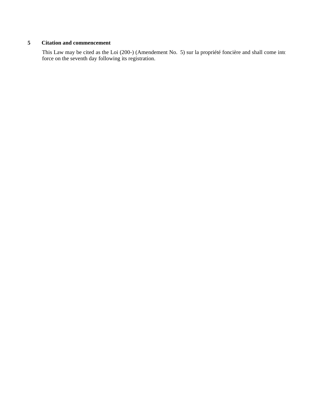#### **5 Citation and commencement**

This Law may be cited as the Loi (200-) (Amendement No. 5) sur la propriété foncière and shall come into force on the seventh day following its registration.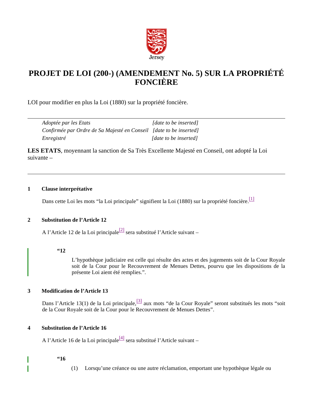

### **PROJET DE LOI (200-) (AMENDEMENT No. 5) SUR LA PROPRIÉTÉ FONCIÈRE**

LOI pour modifier en plus la Loi (1880) sur la propriété foncière.

| Adoptée par les Etats                                              | [date to be inserted] |
|--------------------------------------------------------------------|-----------------------|
| Confirmée par Ordre de Sa Majesté en Conseil [date to be inserted] |                       |
| Enregistré                                                         | [date to be inserted] |

**LES ETATS**, moyennant la sanction de Sa Très Excellente Majesté en Conseil, ont adopté la Loi suivante –

#### **1 Clause interprétative**

Dans cette Loi les mots "la Loi principale" signifient la Loi (1880) sur la propriété foncière.<sup>[1]</sup>

#### **2 Substitution de l'Article 12**

A l'Article 12 de la Loi principale<sup>[2]</sup> sera substitué l'Article suivant –

#### **"12**

L'hypothèque judiciaire est celle qui résulte des actes et des jugements soit de la Cour Royale soit de la Cour pour le Recouvrement de Menues Dettes, pourvu que les dispositions de la présente Loi aient été remplies.".

#### **3 Modification de l'Article 13**

Dans l'Article 13(1) de la Loi principale, <sup>[3]</sup> aux mots "de la Cour Royale" seront substitués les mots "soit de la Cour Royale soit de la Cour pour le Recouvrement de Menues Dettes".

#### **4 Substitution de l'Article 16**

A l'Article 16 de la Loi principale<sup>[4]</sup> sera substitué l'Article suivant –

#### **"16**

(1) Lorsqu'une créance ou une autre réclamation, emportant une hypothèque légale ou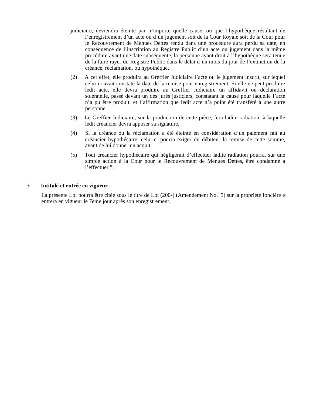- judiciaire, deviendra éteinte par n'importe quelle cause, ou que l'hypothèque résultant de l'enregistrement d'un acte ou d'un jugement soit de la Cour Royale soit de la Cour pour le Recouvrement de Menues Dettes rendu dans une procédure aura perdu sa date, en conséquence de l'inscription au Registre Public d'un acte ou jugement dans la même procédure ayant une date subséquente, la personne ayant droit à l'hypothèque sera tenue de la faire rayer du Registre Public dans le délai d'un mois du jour de l'extinction de la créance, réclamation, ou hypothèque.
- (2) A cet effet, elle produira au Greffier Judiciaire l'acte ou le jugement inscrit, sur lequel celui-ci avait constaté la date de la remise pour enregistrement. Si elle ne peut produire ledit acte, elle devra produire au Greffier Judiciaire un affidavit ou déclaration solennelle, passé devant un des jurés justiciers, constatant la cause pour laquelle l'acte n'a pu être produit, et l'affirmation que ledit acte n'a point été transféré à une autre personne.
- (3) Le Greffier Judiciaire, sur la production de cette pièce, fera ladite radiation: à laquelle ledit créancier devra apposer sa signature.
- (4) Si la créance ou la réclamation a été éteinte en considération d'un paiement fait au créancier hypothécaire, celui-ci pourra exiger du débiteur la remise de cette somme, avant de lui donner un acquit.
- (5) Tout créancier hypothécaire qui négligerait d'effectuer ladite radiation pourra, sur une simple action à la Cour pour le Recouvrement de Menues Dettes, être condamné à l'effectuer.".

#### **5 Intitulé et entrée en vigueur**

La présente Loi pourra être citée sous le titre de Loi (200-) (Amendement No. 5) sur la propriété foncière et entrera en vigueur le 7ème jour après son enregistrement.